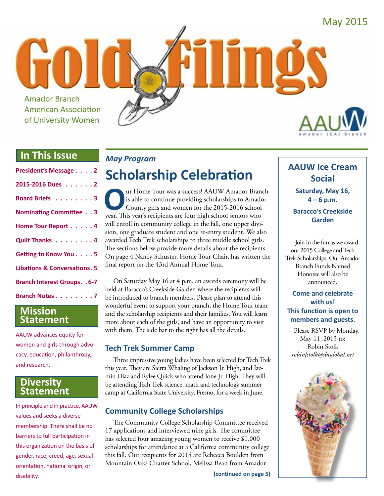

## **In This Issue**

| President's Message 2                   |
|-----------------------------------------|
| 2015-2016 Dues 2                        |
| Board Briefs 3                          |
| <b>Nominating Committee 3</b>           |
| Home Tour Report 4                      |
| Quilt Thanks 4                          |
| Getting to Know You. 5                  |
| <b>Libations &amp; Conversations. 5</b> |
| <b>Branch Interest Groups. . 6-7</b>    |
| <b>Branch Notes 7</b>                   |

## **Mission Statement**

AAUW advances equity for women and girls through advocacy, education, philanthropy, and research.

## **Diversity Statement**

In principle and in practice, AAUW values and seeks a diverse membership. There shall be no barriers to full participation in this organization on the basis of gender, race, creed, age, sexual orientation, national origin, or disability.

## *May Program*

## **Scholarship Celebration**

The Tour was a success! AAUW Amador Branch<br>
is able to continue providing scholarships to Amador<br>
County girls and women for the 2015-2016 school<br>
vear. This vear's recipients are four high school seniors who is able to continue providing scholarships to Amador County girls and women for the 2015-2016 school year. This year's recipients are four high school seniors who will enroll in community college in the fall, one upper division, one graduate student and one re-entry student. We also awarded Tech Trek scholarships to three middle school girls. The sections below provide more details about the recipients. On page 4 Nancy Schuster, Home Tour Chair, has written the final report on the 43rd Annual Home Tour.

On Saturday May 16 at 4 p.m. an awards ceremony will be held at Baracco's Creekside Garden where the recipients will be introduced to branch members. Please plan to attend this wonderful event to support your branch, the Home Tour team and the scholarship recipients and their families. You will learn more about each of the girls, and have an opportunity to visit with them. The side bar to the right has all the details.

## **Tech Trek Summer Camp**

Three impressive young ladies have been selected for Tech Trek this year. They are Sierra Whaling of Jackson Jr. High, and Jazmin Diaz and Rylee Quick who attend Ione Jr. High. They will be attending Tech Trek science, math and technology summer camp at California State University, Fresno, for a week in June.

## **Community College Scholarships**

The Community College Scholarship Committee received 17 applications and interviewed nine girls. The committee has selected four amazing young women to receive \$1,000 scholarships for attendance at a California community college this fall. Our recipients for 2015 are Rebecca Boulden from Mountain Oaks Charter School, Melissa Bean from Amador

## **AAUW Ice Cream Social**

**Saturday, May 16, 4 – 6 p.m.**

**Baracco's Creekside Garden**

Join in the fun as we award our 2015 College and Tech Trek Scholarships. Our Amador Branch Funds Named Honoree will also be announced.

#### **Come and celebrate with us! This function is open to members and guests.**

Please RSVP by Monday, May 11, 2015 to: Robin Stolk *robinfstolk@sbcglobal.net*

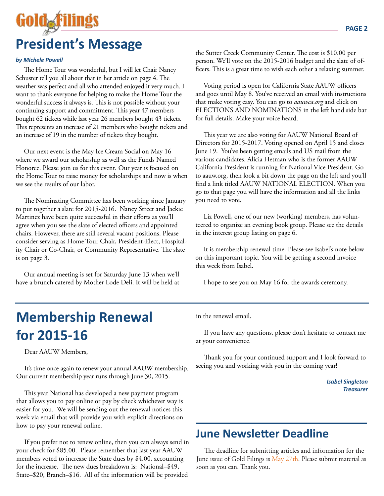# **President's Message**

#### *by Michele Powell*

The Home Tour was wonderful, but I will let Chair Nancy Schuster tell you all about that in her article on page 4. The weather was perfect and all who attended enjoyed it very much. I want to thank everyone for helping to make the Home Tour the wonderful success it always is. This is not possible without your continuing support and commitment. This year 47 members bought 62 tickets while last year 26 members bought 43 tickets. This represents an increase of 21 members who bought tickets and an increase of 19 in the number of tickets they bought.

Our next event is the May Ice Cream Social on May 16 where we award our scholarship as well as the Funds Named Honoree. Please join us for this event. Our year is focused on the Home Tour to raise money for scholarships and now is when we see the results of our labor.

The Nominating Committee has been working since January to put together a slate for 2015-2016. Nancy Street and Jackie Martinez have been quite successful in their efforts as you'll agree when you see the slate of elected officers and appointed chairs. However, there are still several vacant positions. Please consider serving as Home Tour Chair, President-Elect, Hospitality Chair or Co-Chair, or Community Representative. The slate is on page 3.

Our annual meeting is set for Saturday June 13 when we'll have a brunch catered by Mother Lode Deli. It will be held at **PAGE 2**

the Sutter Creek Community Center. The cost is \$10.00 per person. We'll vote on the 2015-2016 budget and the slate of officers. This is a great time to wish each other a relaxing summer.

Voting period is open for California State AAUW officers and goes until May 8. You've received an email with instructions that make voting easy. You can go to *aauwca.org* and click on ELECTIONS AND NOMINATIONS in the left hand side bar for full details. Make your voice heard.

This year we are also voting for AAUW National Board of Directors for 2015-2017. Voting opened on April 15 and closes June 19. You've been getting emails and US mail from the various candidates. Alicia Hetman who is the former AAUW California President is running for National Vice President. Go to aauw.org, then look a bit down the page on the left and you'll find a link titled AAUW NATIONAL ELECTION. When you go to that page you will have the information and all the links you need to vote.

Liz Powell, one of our new (working) members, has volunteered to organize an evening book group. Please see the details in the interest group listing on page 6.

It is membership renewal time. Please see Isabel's note below on this important topic. You will be getting a second invoice this week from Isabel.

I hope to see you on May 16 for the awards ceremony.

## **Membership Renewal for 2015-16**

Dear AAUW Members,

It's time once again to renew your annual AAUW membership. Our current membership year runs through June 30, 2015.

This year National has developed a new payment program that allows you to pay online or pay by check whichever way is easier for you. We will be sending out the renewal notices this week via email that will provide you with explicit directions on how to pay your renewal online.

If you prefer not to renew online, then you can always send in your check for \$85.00. Please remember that last year AAUW members voted to increase the State dues by \$4.00, accounting for the increase. The new dues breakdown is: National–\$49, State–\$20, Branch–\$16. All of the information will be provided

in the renewal email.

If you have any questions, please don't hesitate to contact me at your convenience.

Thank you for your continued support and I look forward to seeing you and working with you in the coming year!

> *Isabel Singleton Treasurer*

## **June Newsletter Deadline**

The deadline for submitting articles and information for the June issue of Gold Filings is May 27th. Please submit material as soon as you can. Thank you.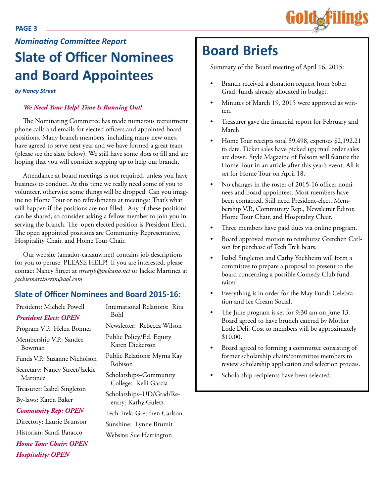# *Nominating Committee Report*

## **Slate of Officer Nominees and Board Appointees**

*by Nancy Street*

#### *We Need Your Help! Time Is Running Out!*

The Nominating Committee has made numerous recruitment phone calls and emails for elected officers and appointed board positions. Many branch members, including many new ones, have agreed to serve next year and we have formed a great team (please see the slate below). We still have some slots to fill and are hoping that you will consider stepping up to help our branch.

Attendance at board meetings is not required, unless you have business to conduct. At this time we really need some of you to volunteer, otherwise some things will be dropped! Can you imagine no Home Tour or no refreshments at meetings? That's what will happen if the positions are not filled. Any of these positions can be shared, so consider asking a fellow member to join you in serving the branch. The open elected position is President Elect. The open appointed positions are Community Representative, Hospitality Chair, and Home Tour Chair.

Our website (amador-ca.aauw.net) contains job descriptions for you to peruse. PLEASE HELP! If you are interested, please contact Nancy Street at *streetjb@volcano.net* or Jackie Martinez at *jackiemartinezm@aol.com*

## **Slate of Officer Nominee**

| President: Michele Powell                  | <b>International Relatio</b><br>Bohl<br>Newsletter: Rebecca                       |
|--------------------------------------------|-----------------------------------------------------------------------------------|
| <b>President Elect: OPEN</b>               |                                                                                   |
| Program V.P.: Helen Bonner                 |                                                                                   |
| Membership V.P.: Sandee<br>Bowman          | Public Policy/Ed. Ec<br>Karen Dickerson                                           |
| Funds V.P.: Suzanne Nicholson              | Public Relations: My<br>Robison                                                   |
| Secretary: Nancy Street/Jackie<br>Martinez | Scholarships-Comn<br>College: Kelli Gar<br>Scholarships-UD/G<br>entry: Kathy Gule |
| Treasurer: Isabel Singleton                |                                                                                   |
| By-laws: Karen Baker                       |                                                                                   |
| <b>Community Rep: OPEN</b>                 | Tech Trek: Gretchen                                                               |
| Directory: Laurie Brunson                  | Sunshine: Lynne Br                                                                |
| Historian: Sandi Baracco                   | Website: Sue Harrin                                                               |
| <b>Home Tour Chair: OPEN</b>               |                                                                                   |
| <b>Hospitality: OPEN</b>                   |                                                                                   |

| es and Board 2015-16:                           |
|-------------------------------------------------|
| International Relations: Rita<br>Bohl           |
| Newsletter: Rebecca Wilson                      |
| Public Policy/Ed. Equity<br>Karen Dickerson     |
| Public Relations: Myrna Kay<br>Robison          |
| Scholarships-Community<br>College: Kelli Garcia |
| Scholarships-UD/Grad/Re-<br>entry: Kathy Guletz |
| Tech Trek: Gretchen Carlson                     |

umit gton

## **Board Briefs**

Summary of the Board meeting of April 16, 2015:

- Branch received a donation request from Sober Grad, funds already allocated in budget.
- Minutes of March 19, 2015 were approved as written.
- Treasurer gave the financial report for February and March.
- Home Tour receipts total \$9,498, expenses \$2,192.21 to date. Ticket sales have picked up; mail order sales are down. Style Magazine of Folsom will feature the Home Tour in an article after this year's event. All is set for Home Tour on April 18.
- No changes in the roster of 2015-16 officer nominees and board appointees. Most members have been contacted. Still need President-elect, Membership V.P., Community Rep., Newsletter Editor, Home Tour Chair, and Hospitality Chair.
- Three members have paid dues via online program.
- Board approved motion to reimburse Gretchen Carlson for purchase of Tech Trek bears.
- Isabel Singleton and Cathy Yochheim will form a committee to prepare a proposal to present to the board concerning a possible Comedy Club fundraiser.
- Everything is in order for the May Funds Celebration and Ice Cream Social.
- The June program is set for 9:30 am on June 13. Board agreed to have brunch catered by Mother Lode Deli. Cost to members will be approximately \$10.00.
- Board agreed to forming a committee consisting of former scholarship chairs/committee members to review scholarship application and selection process.
- Scholarship recipients have been selected.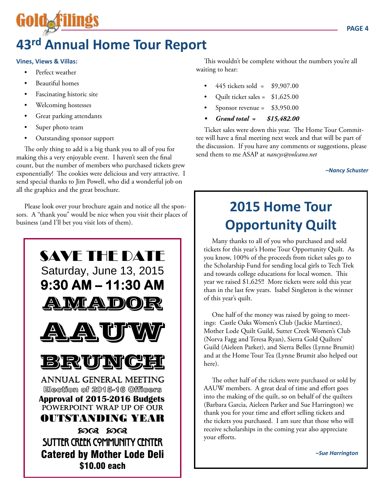## **43rd Annual Home Tour Report**

#### **Vines, Views & Villas:**

**GOIOAF** 

- Perfect weather
- **Beautiful homes**
- Fascinating historic site
- Welcoming hostesses
- Great parking attendants
- Super photo team
- Outstanding sponsor support

The only thing to add is a big thank you to all of you for making this a very enjoyable event. I haven't seen the final count, but the number of members who purchased tickets grew exponentially! The cookies were delicious and very attractive. I send special thanks to Jim Powell, who did a wonderful job on all the graphics and the great brochure.

Please look over your brochure again and notice all the sponsors. A "thank you" would be nice when you visit their places of business (and I'll bet you visit lots of them).



This wouldn't be complete without the numbers you're all waiting to hear:

- 445 tickets sold =  $$9,907.00$
- Quilt ticket sales =  $$1,625.00$
- Sponsor revenue =  $$3,950.00$
- *• Grand total = \$15,482.00*

Ticket sales were down this year. The Home Tour Committee will have a final meeting next week and that will be part of the discussion. If you have any comments or suggestions, please send them to me ASAP at *nancys@volcano.net*

*–Nancy Schuster*

## **2015 Home Tour Opportunity Quilt**

Many thanks to all of you who purchased and sold tickets for this year's Home Tour Opportunity Quilt. As you know, 100% of the proceeds from ticket sales go to the Scholarship Fund for sending local girls to Tech Trek and towards college educations for local women. This year we raised \$1,625!! More tickets were sold this year than in the last few years. Isabel Singleton is the winner of this year's quilt.

One half of the money was raised by going to meetings: Castle Oaks Women's Club (Jackie Martinez), Mother Lode Quilt Guild, Sutter Creek Women's Club (Norva Fagg and Teresa Ryan), Sierra Gold Quilters' Guild (Aieleen Parker), and Sierra Belles (Lynne Brumit) and at the Home Tour Tea (Lynne Brumit also helped out here).

The other half of the tickets were purchased or sold by AAUW members. A great deal of time and effort goes into the making of the quilt, so on behalf of the quilters (Barbara Garcia, Aieleen Parker and Sue Harrington) we thank you for your time and effort selling tickets and the tickets you purchased. I am sure that those who will receive scholarships in the coming year also appreciate your efforts.

*–Sue Harrington*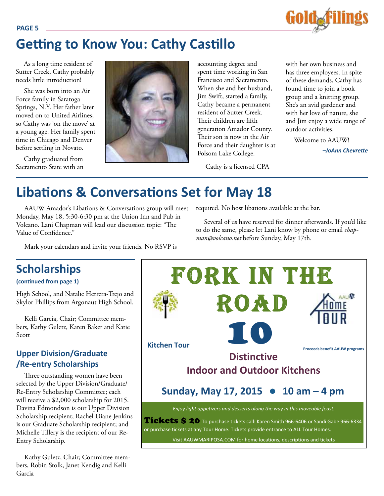

## **Getting to Know You: Cathy Castillo**

As a long time resident of Sutter Creek, Cathy probably needs little introduction!

She was born into an Air Force family in Saratoga Springs, N.Y. Her father later moved on to United Airlines, so Cathy was 'on the move' at a young age. Her family spent time in Chicago and Denver before settling in Novato.

Cathy graduated from Sacramento State with an



accounting degree and spent time working in San Francisco and Sacramento. When she and her husband, Jim Swift, started a family, Cathy became a permanent resident of Sutter Creek. Their children are fifth generation Amador County. Their son is now in the Air Force and their daughter is at Folsom Lake College.

Cathy is a licensed CPA

with her own business and has three employees. In spite of these demands, Cathy has found time to join a book group and a knitting group. She's an avid gardener and with her love of nature, she and Jim enjoy a wide range of outdoor activities.

Welcome to AAUW!

*–JoAnn Chevrette*

## **Libations & Conversations Set for May 18**

AAUW Amador's Libations & Conversations group will meet Monday, May 18, 5:30-6:30 pm at the Union Inn and Pub in Volcano. Lani Chapman will lead our discussion topic: "The Value of Confidence."

required. No host libations available at the bar.

Several of us have reserved for dinner afterwards. If you'd like to do the same, please let Lani know by phone or email *chapman@volcano.net* before Sunday, May 17th.

Mark your calendars and invite your friends. No RSVP is

## **Scholarships**

High School, and Natalie Herrera-Trejo and Skylor Phillips from Argonaut High School.

Kelli Garcia, Chair; Committee members, Kathy Guletz, Karen Baker and Katie Scott

## **Upper Division/Graduate /Re-entry Scholarships**

Three outstanding women have been selected by the Upper Division/Graduate/ Re-Entry Scholarship Committee; each will receive a \$2,000 scholarship for 2015. Davina Edmondson is our Upper Division Scholarship recipient; Rachel Diane Jenkins is our Graduate Scholarship recipient; and Michelle Tillery is the recipient of our Re-Entry Scholarship.

Kathy Guletz, Chair; Committee members, Robin Stolk, Janet Kendig and Kelli Garcia



#### **PAGE 5**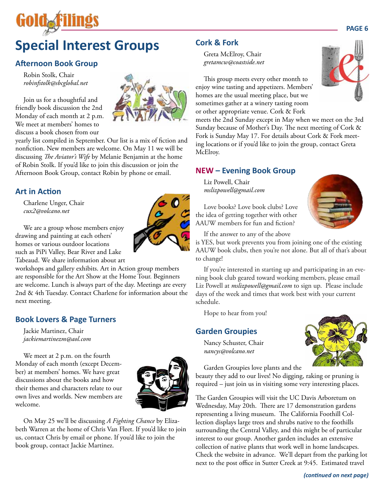## **Special Interest Groups**

## **Afternoon Book Group**

Robin Stolk, Chair *robinfstolk@sbcglobal.net*

Join us for a thoughtful and friendly book discussion the 2nd Monday of each month at 2 p.m. We meet at members' homes to discuss a book chosen from our



yearly list compiled in September. Our list is a mix of fiction and nonfiction. New members are welcome. On May 11 we will be discussing *The Aviator's Wife* by Melanie Benjamin at the home of Robin Stolk. If you'd like to join this discussion or join the Afternoon Book Group, contact Robin by phone or email.

## **Art in Action**

Charlene Unger, Chair *cux2@volcano.net*

We are a group whose members enjoy drawing and painting at each others' homes or various outdoor locations such as PiPi Valley, Bear River and Lake Tabeaud. We share information about art

workshops and gallery exhibits. Art in Action group members are responsible for the Art Show at the Home Tour. Beginners are welcome. Lunch is always part of the day. Meetings are every 2nd & 4th Tuesday. Contact Charlene for information about the next meeting.

## **Book Lovers & Page Turners**

Jackie Martinez, Chair *jackiemartinezm@aol.com*

We meet at 2 p.m. on the fourth Monday of each month (except December) at members' homes. We have great discussions about the books and how their themes and characters relate to our own lives and worlds. New members are welcome.



On May 25 we'll be discussing *A Fighting Chance* by Elizabeth Warren at the home of Chris Van Fleet. If you'd like to join us, contact Chris by email or phone. If you'd like to join the book group, contact Jackie Martinez.

## **Cork & Fork**

Greta McElroy, Chair *gretamcw@coastside.net*

This group meets every other month to enjoy wine tasting and appetizers. Members' homes are the usual meeting place, but we sometimes gather at a winery tasting room or other appropriate venue. Cork & Fork

meets the 2nd Sunday except in May when we meet on the 3rd Sunday because of Mother's Day. The next meeting of Cork & Fork is Sunday May 17. For details about Cork & Fork meeting locations or if you'd like to join the group, contact Greta McElroy.

#### **NEW – Evening Book Group**

Liz Powell, Chair *mslizpowell@gmail.com*

Love books? Love book clubs? Love the idea of getting together with other AAUW members for fun and fiction?



If the answer to any of the above

is YES, but work prevents you from joining one of the existing AAUW book clubs, then you're not alone. But all of that's about to change!

If you're interested in starting up and participating in an evening book club geared toward working members, please email Liz Powell at *mslizpowell@gmail.com* to sign up. Please include days of the week and times that work best with your current schedule.

Hope to hear from you!

#### **Garden Groupies**

Nancy Schuster, Chair *nancys@volcano.net*



Garden Groupies love plants and the

beauty they add to our lives! No digging, raking or pruning is required – just join us in visiting some very interesting places.

The Garden Groupies will visit the UC Davis Arboretum on Wednesday, May 20th. There are 17 demonstration gardens representing a living museum. The California Foothill Collection displays large trees and shrubs native to the foothills surrounding the Central Valley, and this might be of particular interest to our group. Another garden includes an extensive collection of native plants that work well in home landscapes. Check the website in advance. We'll depart from the parking lot next to the post office in Sutter Creek at 9:45. Estimated travel



**PAGE 6**